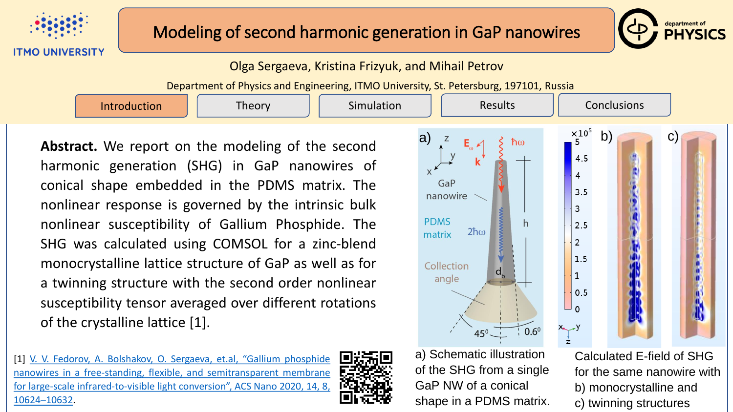



Olga Sergaeva, Kristina Frizyuk, and Mihail Petrov

Department of Physics and Engineering, ITMO University, St. Petersburg, 197101, Russia

Introduction | Theory | Simulation | Results **Conclusions** 

**Abstract.** We report on the modeling of the second harmonic generation (SHG) in GaP nanowires of conical shape embedded in the PDMS matrix. The nonlinear response is governed by the intrinsic bulk nonlinear susceptibility of Gallium Phosphide. The SHG was calculated using COMSOL for a zinc-blend monocrystalline lattice structure of GaP as well as for a twinning structure with the second order nonlinear susceptibility tensor averaged over different rotations of the crystalline lattice [1].

[1] V. V. Fedorov, A. Bolshakov, O. Sergaeva, et.al, "Gallium phosphide nanowires in a free-standing, flexible, and semitransparent membrane for large-scale [infrared-to-visible](https://pubs.acs.org/doi/10.1021/acsnano.0c04872) light conversion", ACS Nano 2020, 14, 8, 10624–10632.



a) Schematic illustration of the SHG from a single GaP NW of a conical shape in a PDMS matrix.

 $45^{\circ}$ 

 $2\hbar\omega$ 

 $d_{\iota}$ 

 $GaP$ 

nanowire

Collection

angle

**PDMS** 

matrix

a) z  $_{F-A}$   $\leq$   $_{h\omega}$  b) c)

h

 $0.6^{\circ}$ 

4.5

4

 $3.5$ 

3

 $2.5$ 

 $1.5$ 

 $0.5$ 

∩ ׁ

x, y

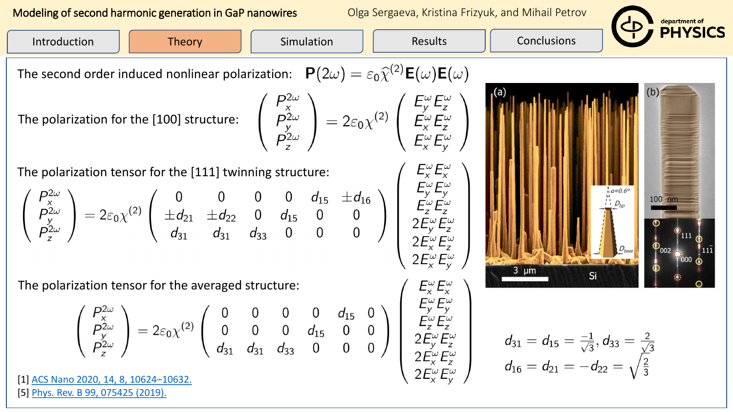[5] Phys. Rev. B 99, [075425](https://journals.aps.org/prb/abstract/10.1103/PhysRevB.99.075425) (2019).



Introduction  $\begin{vmatrix} 1 & \text{Theory} & 1 \end{vmatrix}$  Simulation  $\begin{vmatrix} 1 & \text{Results} & 1 \end{vmatrix}$  Conclusions The second order induced nonlinear polarization:  $P(2\omega) = \varepsilon_0 \widehat{\chi}^{(2)} E(\omega) E(\omega)$ The polarization for the [100] structure:  $\begin{pmatrix} P_{x}^{2\omega} \\ P_{y}^{2\omega} \\ P_{z}^{2\omega} \end{pmatrix} = 2\varepsilon_0 \chi^{(2)} \begin{pmatrix} E_{y}^{\omega} E_{z}^{\omega} \\ E_{x}^{\omega} E_{z}^{\omega} \\ E_{y}^{\omega} E_{y}^{\omega} \end{pmatrix}$  $(b)$ The polarization tensor for the [111] twinning structure:<br>  $\begin{pmatrix} P_{x}^{2\omega} \\ P_{y}^{2\omega} \\ P_{z}^{2\omega} \end{pmatrix} = 2\varepsilon_0 \chi^{(2)} \begin{pmatrix} 0 & 0 & 0 & 0 & d_{15} & \pm d_{16} \\ \pm d_{21} & \pm d_{22} & 0 & d_{15} & 0 & 0 \\ d_{31} & d_{31} & d_{33} & 0 & 0 & 0 \end{pmatrix} \begin{pmatrix} E_{x}^$  $n \alpha \approx 0.6^\circ$  $100$  nm  $\sum_{t=1}^{n} D_{t}$  $111$  $D_{base}$ The polarization tensor for the averaged structure:<br>  $\begin{pmatrix} P_{2\omega}^{2\omega} \\ P_{2\omega}^{2\omega} \\ P_{2\omega}^{2\omega} \end{pmatrix} = 2\varepsilon_0 \chi^{(2)} \begin{pmatrix} 0 & 0 & 0 & 0 & d_{15} & 0 \\ 0 & 0 & 0 & d_{15} & 0 & 0 \\ d_{31} & d_{31} & d_{33} & 0 & 0 & 0 \end{pmatrix} \begin{pmatrix} E_{\omega}^{\omega} E_{\omega}^{\omega} \\ E$  $µm$ Si [1] ACS Nano 2020, 14, 8, 10624–[10632.](https://pubs.acs.org/doi/10.1021/acsnano.0c04872)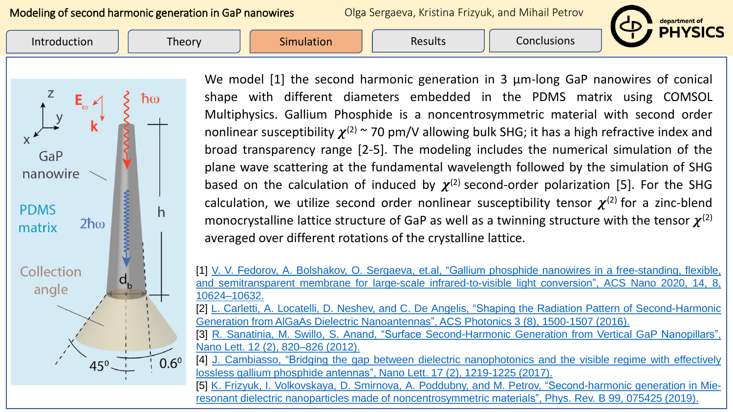Introduction | Theory | Simulation | Results | Conclusions





We model [1] the second harmonic generation in 3 μm-long GaP nanowires of conical shape with different diameters embedded in the PDMS matrix using COMSOL Multiphysics. Gallium Phosphide is a noncentrosymmetric material with second order nonlinear susceptibility  $\chi^{(2)}$  ~ 70 pm/V allowing bulk SHG; it has a high refractive index and broad transparency range [2-5]. The modeling includes the numerical simulation of the plane wave scattering at the fundamental wavelength followed by the simulation of SHG based on the calculation of induced by  $\chi^{(2)}$  second-order polarization [5]. For the SHG calculation, we utilize second order nonlinear susceptibility tensor  $\chi^{(2)}$  for a zinc-blend monocrystalline lattice structure of GaP as well as a twinning structure with the tensor  $\chi^{(2)}$ averaged over different rotations of the crystalline lattice.

[1] V. V. Fedorov, A. Bolshakov, O. Sergaeva, et.al, "Gallium phosphide nanowires in a free-standing, flexible, and semitransparent membrane for large-scale [infrared-to-visible](https://pubs.acs.org/doi/10.1021/acsnano.0c04872) light conversion", ACS Nano 2020, 14, 8, 10624–10632.

[2] L. Carletti, A. Locatelli, D. Neshev, and C. De Angelis, "Shaping the Radiation Pattern of [Second-Harmonic](https://pubs.acs.org/doi/abs/10.1021/acsphotonics.6b00050) Generation from AlGaAs Dielectric Nanoantennas", ACS Photonics 3 (8), 1500-1507 (2016).

[3] R. Sanatinia, M. Swillo, S. Anand, "Surface [Second-Harmonic](https://pubs.acs.org/doi/abs/10.1021/nl203866y) Generation from Vertical GaP Nanopillars", Nano Lett. 12 (2), 820–826 (2012).

[4] J. Cambiasso, "Bridging the gap between dielectric [nanophotonics](https://pubs.acs.org/doi/10.1021/acs.nanolett.6b05026) and the visible regime with effectively lossless gallium phosphide antennas", Nano Lett. 17 (2), 1219-1225 (2017). [5] K. Frizyuk, I. Volkovskaya, D. Smirnova, A. Poddubny, and M. Petrov, "Second-harmonic generation in Mieresonant dielectric nanoparticles made of [noncentrosymmetric](https://journals.aps.org/prb/abstract/10.1103/PhysRevB.99.075425) materials", Phys. Rev. B 99, 075425 (2019).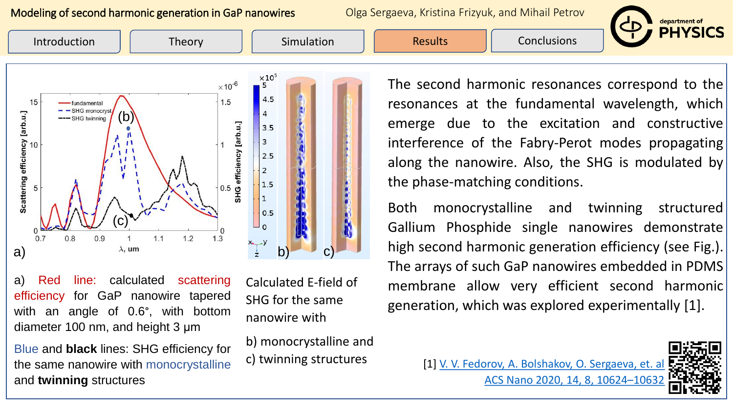



a) Red line: calculated scattering efficiency for GaP nanowire tapered with an angle of 0.6°, with bottom diameter 100 nm, and height 3 μm

Blue and **black** lines: SHG efficiency for the same nanowire with monocrystalline and **twinning** structures

Calculated E-field of SHG for the same nanowire with

b) monocrystalline and c) twinning structures

The second harmonic resonances correspond to the resonances at the fundamental wavelength, which emerge due to the excitation and constructive interference of the Fabry-Perot modes propagating along the nanowire. Also, the SHG is modulated by the phase-matching conditions.

Both monocrystalline and twinning structured Gallium Phosphide single nanowires demonstrate high second harmonic generation efficiency (see Fig.). The arrays of such GaP nanowires embedded in PDMS membrane allow very efficient second harmonic generation, which was explored experimentally [1].

[1] V. V. Fedorov, A. Bolshakov, O. Sergaeva, et. al

ACS Nano 2020, 14, 8, 10624-1063

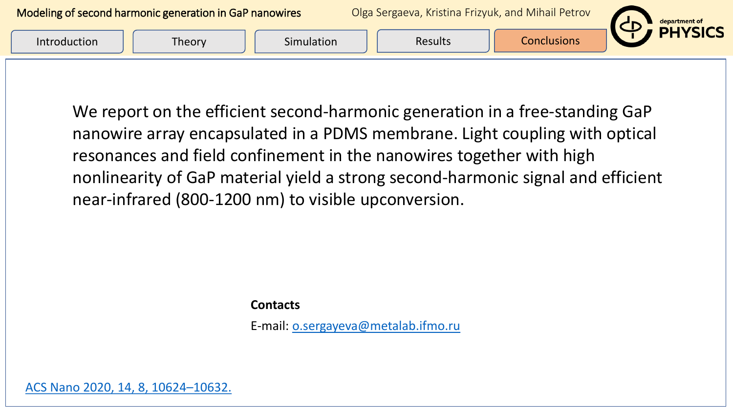

We report on the efficient second-harmonic generation in a free-standing GaP nanowire array encapsulated in a PDMS membrane. Light coupling with optical resonances and field confinement in the nanowires together with high nonlinearity of GaP material yield a strong second-harmonic signal and efficient near-infrared (800-1200 nm) to visible upconversion.

**Contacts**

E-mail: [o.sergayeva@metalab.ifmo.ru](mailto:o.sergayeva@metalab.ifmo.ru?subject=metanano%20poster)

[ACS Nano 2020, 14, 8, 10624](https://pubs.acs.org/doi/10.1021/acsnano.0c04872)–10632.